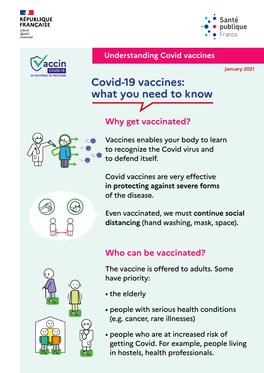



#### **Understanding Covid vaccines**

**January 2021**

bliaue

France

# **Covid-19 vaccines: what you need to know**

## **Why get vaccinated?**



Vaccines enables your body to learn to recognize the Covid virus and to defend itself.

Covid vaccines are very effective **in protecting against severe forms** of the disease.

Even vaccinated, we must **continue social distancing** (hand washing, mask, space).

### **Who can be vaccinated?**

The vaccine is offered to adults. Some have priority:

- the elderly
- people with serious health conditions (e.g. cancer, rare illnesses)
- people who are at increased risk of getting Covid. For example, people living in hostels, health professionals.